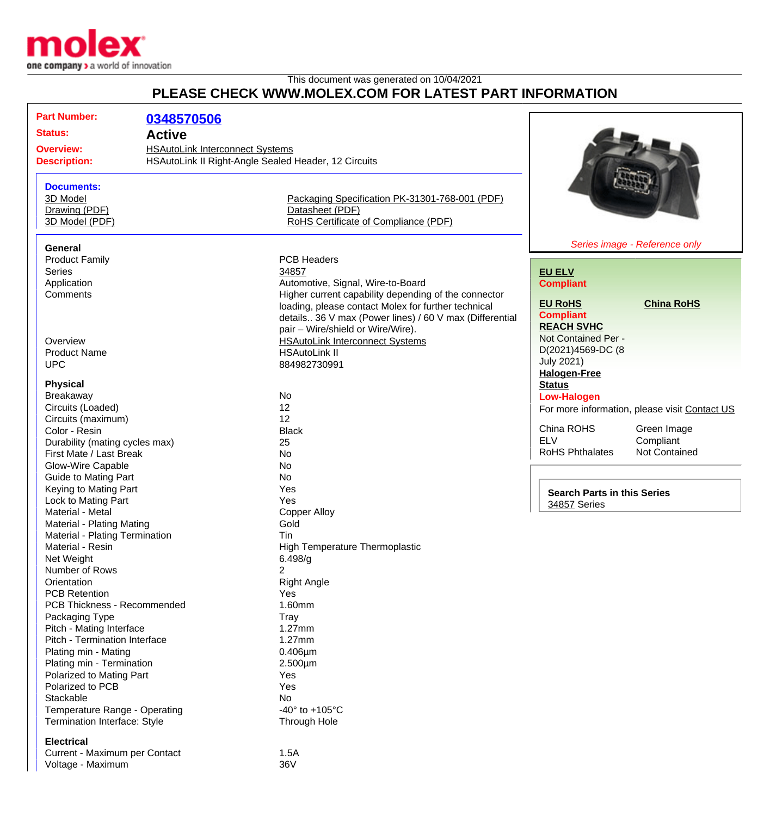

## This document was generated on 10/04/2021 **PLEASE CHECK WWW.MOLEX.COM FOR LATEST PART INFORMATION**

| <b>Part Number:</b>            |                                                      |                                                         |                                    |                                               |
|--------------------------------|------------------------------------------------------|---------------------------------------------------------|------------------------------------|-----------------------------------------------|
|                                | 0348570506                                           |                                                         |                                    |                                               |
| <b>Status:</b>                 | <b>Active</b>                                        |                                                         |                                    |                                               |
| <b>Overview:</b>               | <b>HSAutoLink Interconnect Systems</b>               |                                                         |                                    |                                               |
| <b>Description:</b>            | HSAutoLink II Right-Angle Sealed Header, 12 Circuits |                                                         |                                    |                                               |
|                                |                                                      |                                                         |                                    |                                               |
| <b>Documents:</b>              |                                                      |                                                         |                                    |                                               |
| 3D Model                       |                                                      | Packaging Specification PK-31301-768-001 (PDF)          |                                    |                                               |
| Drawing (PDF)                  |                                                      | Datasheet (PDF)                                         |                                    |                                               |
| 3D Model (PDF)                 |                                                      | RoHS Certificate of Compliance (PDF)                    |                                    |                                               |
|                                |                                                      |                                                         |                                    |                                               |
| General                        |                                                      |                                                         |                                    | Series image - Reference only                 |
| <b>Product Family</b>          |                                                      | <b>PCB Headers</b>                                      |                                    |                                               |
| Series                         |                                                      | 34857                                                   | <b>EU ELV</b>                      |                                               |
| Application                    |                                                      | Automotive, Signal, Wire-to-Board                       | <b>Compliant</b>                   |                                               |
| Comments                       |                                                      | Higher current capability depending of the connector    | <b>EU RoHS</b>                     | <b>China RoHS</b>                             |
|                                |                                                      | loading, please contact Molex for further technical     | <b>Compliant</b>                   |                                               |
|                                |                                                      | details 36 V max (Power lines) / 60 V max (Differential | <b>REACH SVHC</b>                  |                                               |
|                                |                                                      | pair - Wire/shield or Wire/Wire).                       | Not Contained Per -                |                                               |
| Overview                       |                                                      | <b>HSAutoLink Interconnect Systems</b>                  | D(2021)4569-DC (8                  |                                               |
| <b>Product Name</b>            |                                                      | <b>HSAutoLink II</b>                                    | <b>July 2021)</b>                  |                                               |
| <b>UPC</b>                     |                                                      | 884982730991                                            | <b>Halogen-Free</b>                |                                               |
| <b>Physical</b>                |                                                      |                                                         | <b>Status</b>                      |                                               |
| <b>Breakaway</b>               |                                                      | <b>No</b>                                               | <b>Low-Halogen</b>                 |                                               |
| Circuits (Loaded)              |                                                      | 12                                                      |                                    |                                               |
| Circuits (maximum)             |                                                      | 12                                                      |                                    | For more information, please visit Contact US |
| Color - Resin                  |                                                      | <b>Black</b>                                            | China ROHS                         | Green Image                                   |
| Durability (mating cycles max) |                                                      | 25                                                      | <b>ELV</b>                         | Compliant                                     |
| First Mate / Last Break        |                                                      | <b>No</b>                                               | <b>RoHS Phthalates</b>             | <b>Not Contained</b>                          |
| Glow-Wire Capable              |                                                      | <b>No</b>                                               |                                    |                                               |
| <b>Guide to Mating Part</b>    |                                                      | <b>No</b>                                               |                                    |                                               |
| Keying to Mating Part          |                                                      | Yes                                                     |                                    |                                               |
| Lock to Mating Part            |                                                      | Yes                                                     | <b>Search Parts in this Series</b> |                                               |
| Material - Metal               |                                                      | <b>Copper Alloy</b>                                     | 34857 Series                       |                                               |
| Material - Plating Mating      |                                                      | Gold                                                    |                                    |                                               |
| Material - Plating Termination |                                                      | Tin                                                     |                                    |                                               |
| Material - Resin               |                                                      | <b>High Temperature Thermoplastic</b>                   |                                    |                                               |
| Net Weight                     |                                                      | 6.498/g                                                 |                                    |                                               |
| Number of Rows                 |                                                      | 2                                                       |                                    |                                               |
| Orientation                    |                                                      | <b>Right Angle</b>                                      |                                    |                                               |
| <b>PCB Retention</b>           |                                                      | <b>Yes</b>                                              |                                    |                                               |
| PCB Thickness - Recommended    |                                                      | 1.60mm                                                  |                                    |                                               |
| Packaging Type                 |                                                      | Tray                                                    |                                    |                                               |
| Pitch - Mating Interface       |                                                      | 1.27mm                                                  |                                    |                                               |
| Pitch - Termination Interface  |                                                      | 1.27mm                                                  |                                    |                                               |
| Plating min - Mating           |                                                      | $0.406 \mu m$                                           |                                    |                                               |
| Plating min - Termination      |                                                      | $2.500 \mu m$                                           |                                    |                                               |
| Polarized to Mating Part       |                                                      | Yes                                                     |                                    |                                               |
| Polarized to PCB               |                                                      | Yes                                                     |                                    |                                               |
| Stackable                      |                                                      | No                                                      |                                    |                                               |
| Temperature Range - Operating  |                                                      | -40 $\degree$ to +105 $\degree$ C                       |                                    |                                               |
| Termination Interface: Style   |                                                      | Through Hole                                            |                                    |                                               |
|                                |                                                      |                                                         |                                    |                                               |
| <b>Electrical</b>              |                                                      |                                                         |                                    |                                               |
| Current - Maximum per Contact  |                                                      | 1.5A                                                    |                                    |                                               |
| Voltage - Maximum              |                                                      | 36V                                                     |                                    |                                               |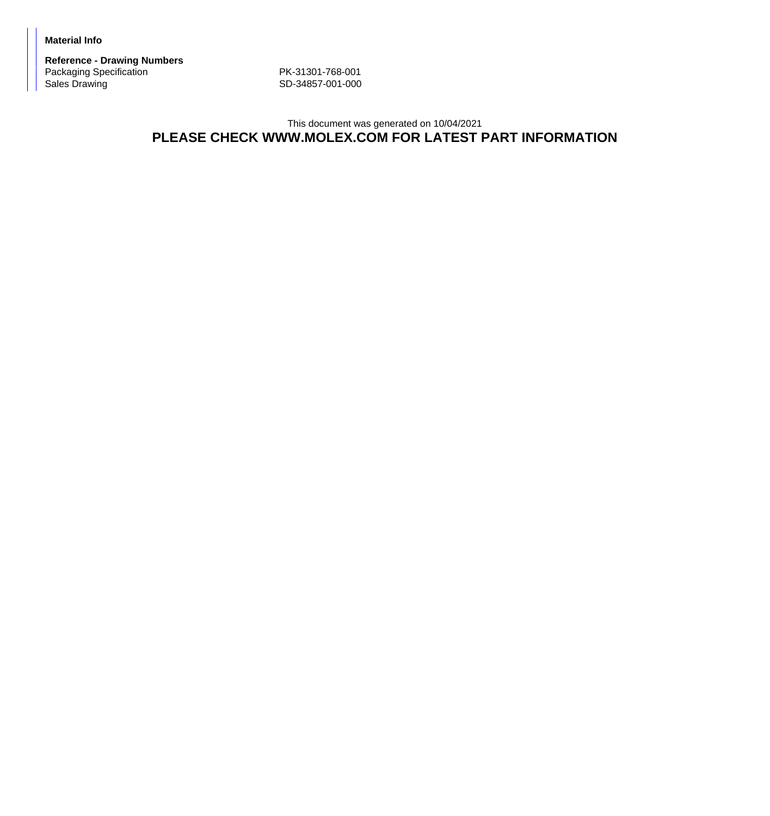**Material Info**

**Reference - Drawing Numbers** Packaging Specification PK-31301-768-001<br>Sales Drawing Subsetted Care Research CD-34857-001-000

SD-34857-001-000

## This document was generated on 10/04/2021 **PLEASE CHECK WWW.MOLEX.COM FOR LATEST PART INFORMATION**